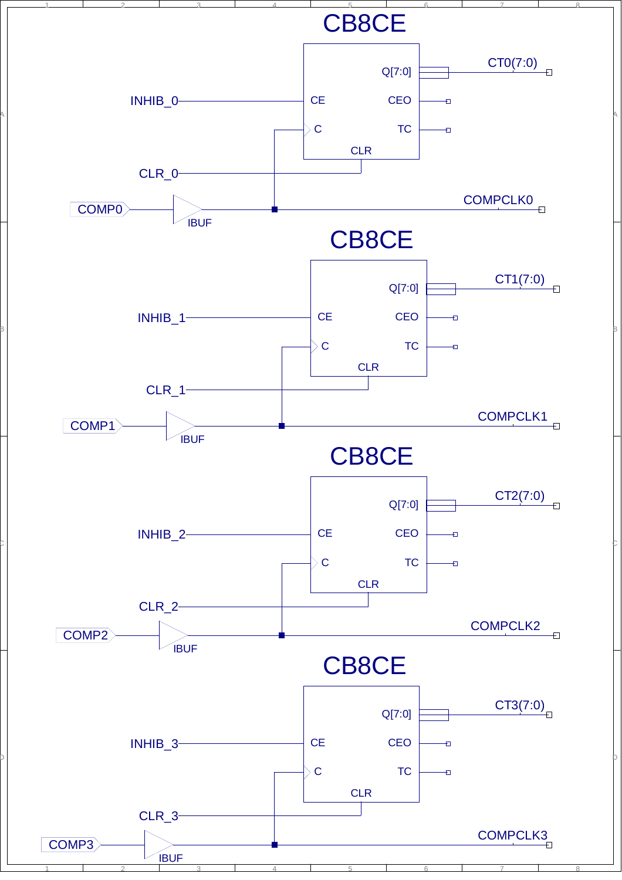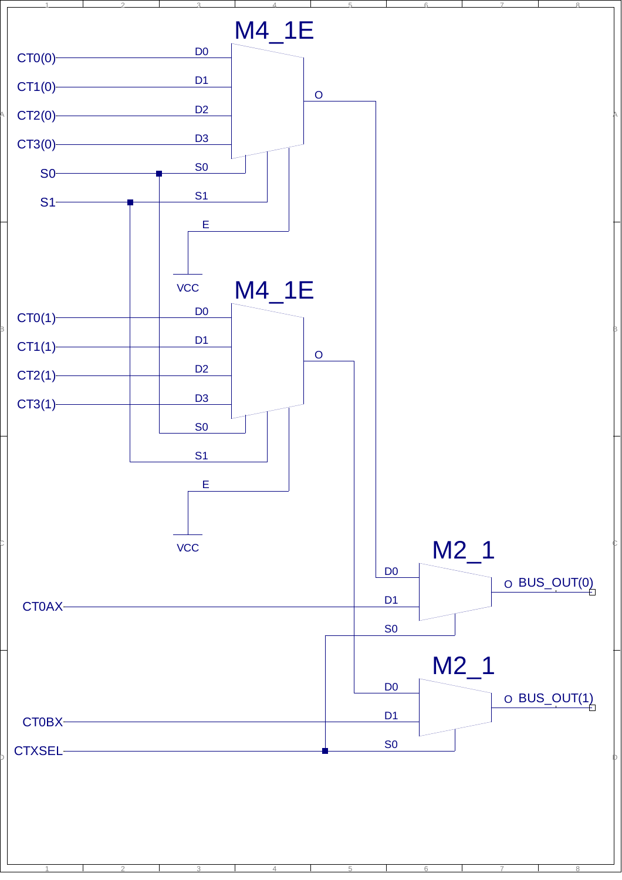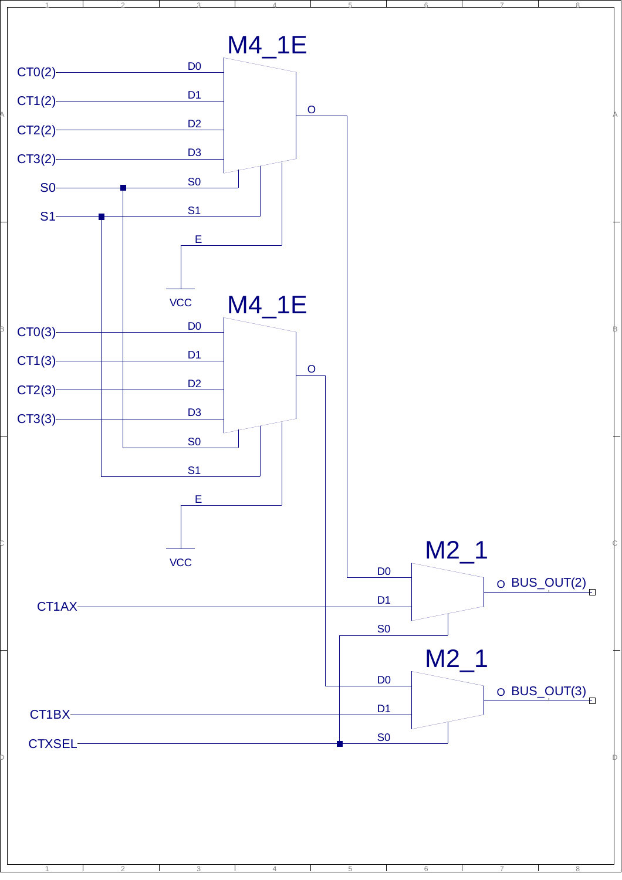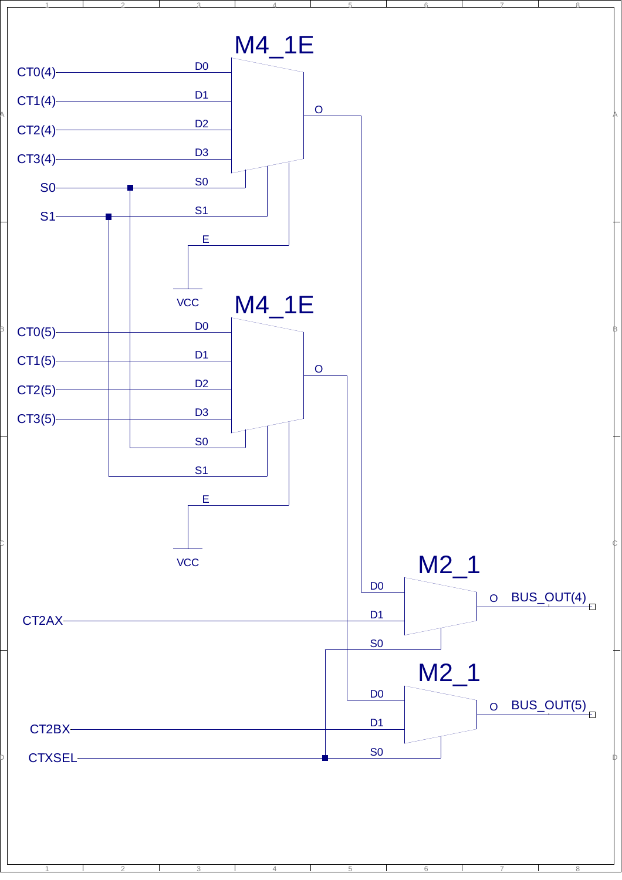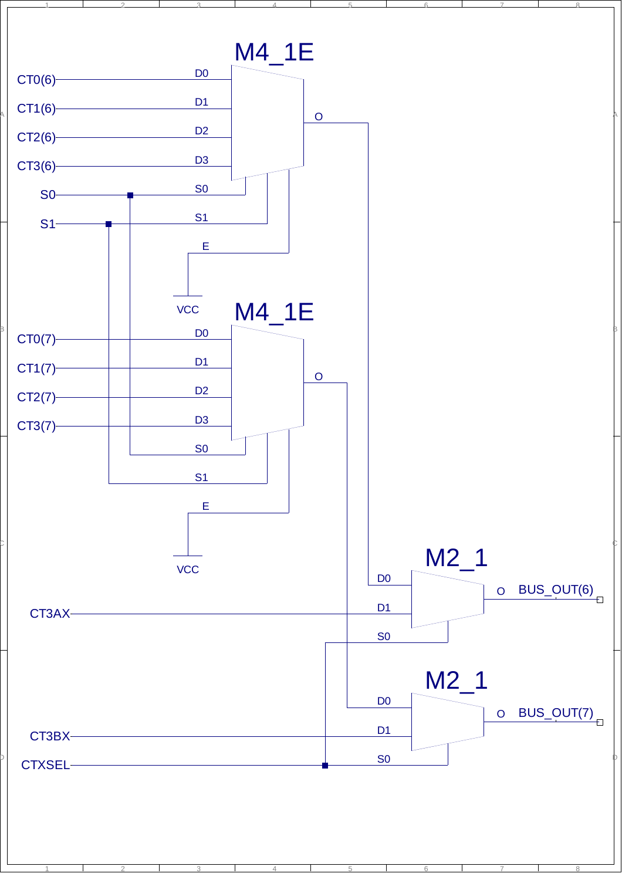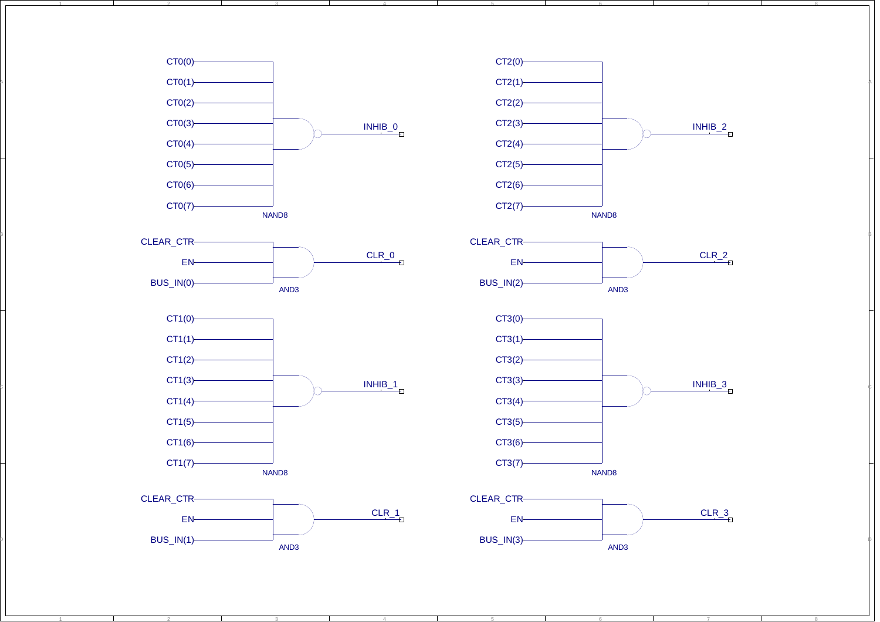

3

4

5

1

A

B

C

D

2

1

2







3

4

5



6

7

8







6

7

8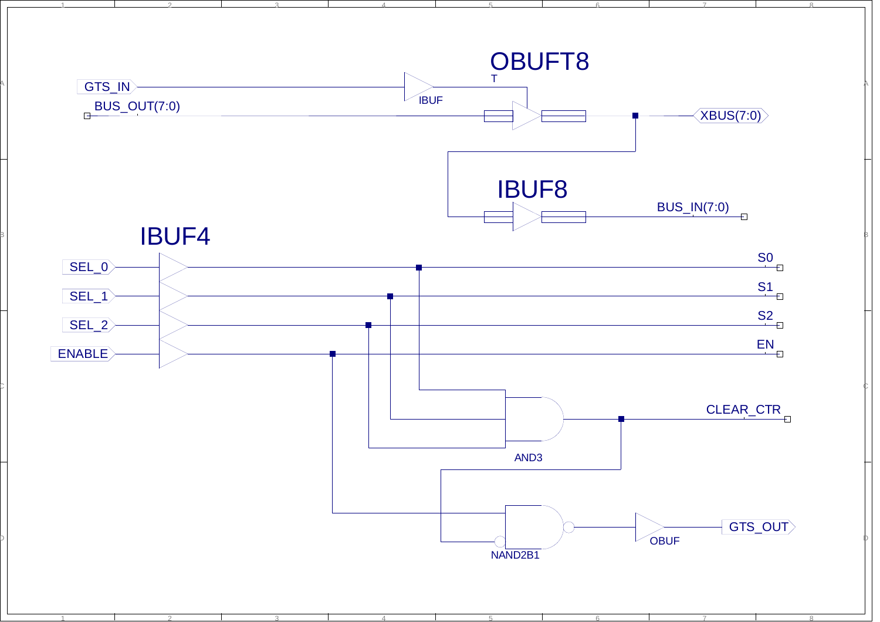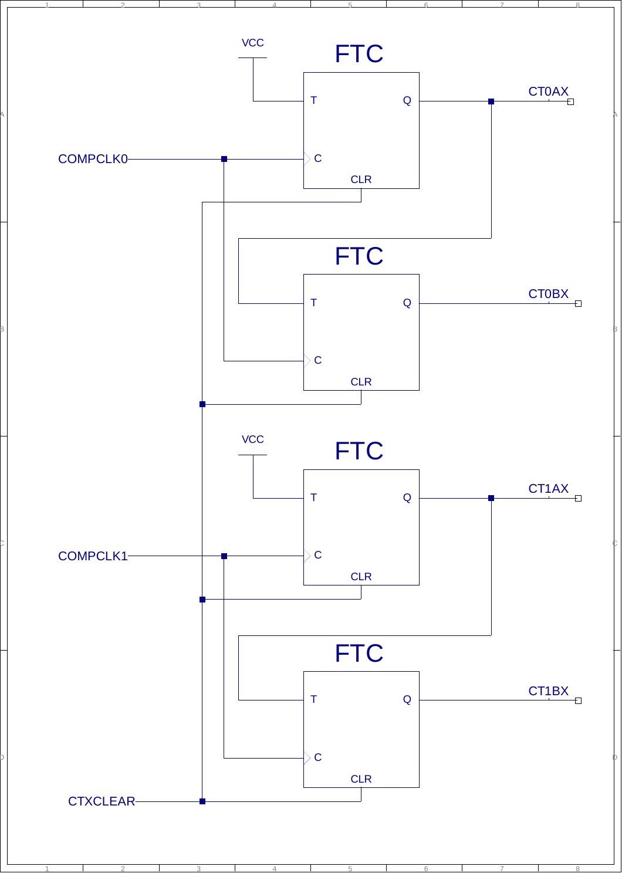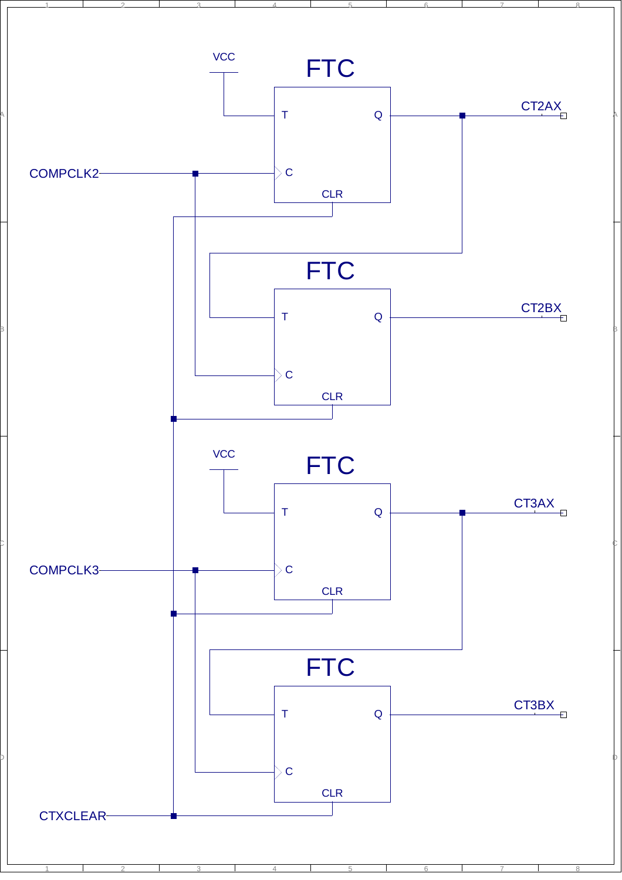